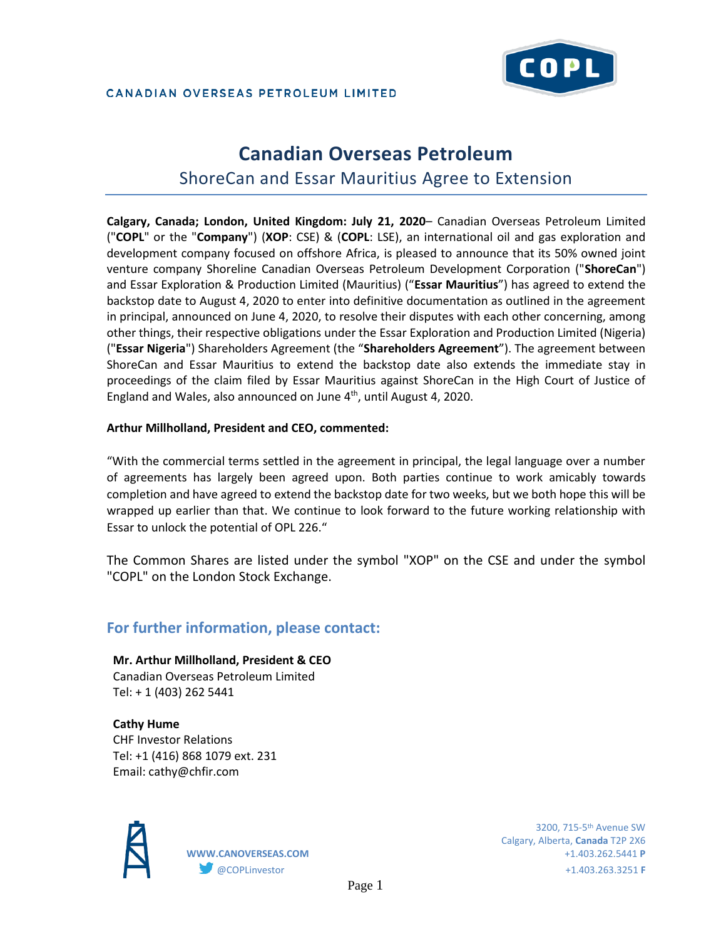

### CANADIAN OVERSEAS PETROLEUM LIMITED

# **Canadian Overseas Petroleum**  ShoreCan and Essar Mauritius Agree to Extension

**Calgary, Canada; London, United Kingdom: July 21, 2020**– Canadian Overseas Petroleum Limited ("**COPL**" or the "**Company**") (**XOP**: CSE) & (**COPL**: LSE), an international oil and gas exploration and development company focused on offshore Africa, is pleased to announce that its 50% owned joint venture company Shoreline Canadian Overseas Petroleum Development Corporation ("**ShoreCan**") and Essar Exploration & Production Limited (Mauritius) ("**Essar Mauritius**") has agreed to extend the backstop date to August 4, 2020 to enter into definitive documentation as outlined in the agreement in principal, announced on June 4, 2020, to resolve their disputes with each other concerning, among other things, their respective obligations under the Essar Exploration and Production Limited (Nigeria) ("**Essar Nigeria**") Shareholders Agreement (the "**Shareholders Agreement**"). The agreement between ShoreCan and Essar Mauritius to extend the backstop date also extends the immediate stay in proceedings of the claim filed by Essar Mauritius against ShoreCan in the High Court of Justice of England and Wales, also announced on June 4<sup>th</sup>, until August 4, 2020.

## **Arthur Millholland, President and CEO, commented:**

"With the commercial terms settled in the agreement in principal, the legal language over a number of agreements has largely been agreed upon. Both parties continue to work amicably towards completion and have agreed to extend the backstop date for two weeks, but we both hope this will be wrapped up earlier than that. We continue to look forward to the future working relationship with Essar to unlock the potential of OPL 226."

The Common Shares are listed under the symbol "XOP" on the CSE and under the symbol "COPL" on the London Stock Exchange.

# **For further information, please contact:**

**Mr. Arthur Millholland, President & CEO** Canadian Overseas Petroleum Limited Tel: + 1 (403) 262 5441

**Cathy Hume** CHF Investor Relations Tel: +1 (416) 868 1079 ext. 231 Email: cathy@chfir.com



 $3200, 715$ – $5^{\rm th}$  Avenue SW  $^{\rm 3200, \, 715}$ – $5^{\rm th}$  Avenue SW Calgary, Alberta, **Canada** T2P 2X6 **WWW.CANOVERSEAS.COM** +1.403.262.5441 **P** @COPLinvestor +1.403.263.3251 **F**